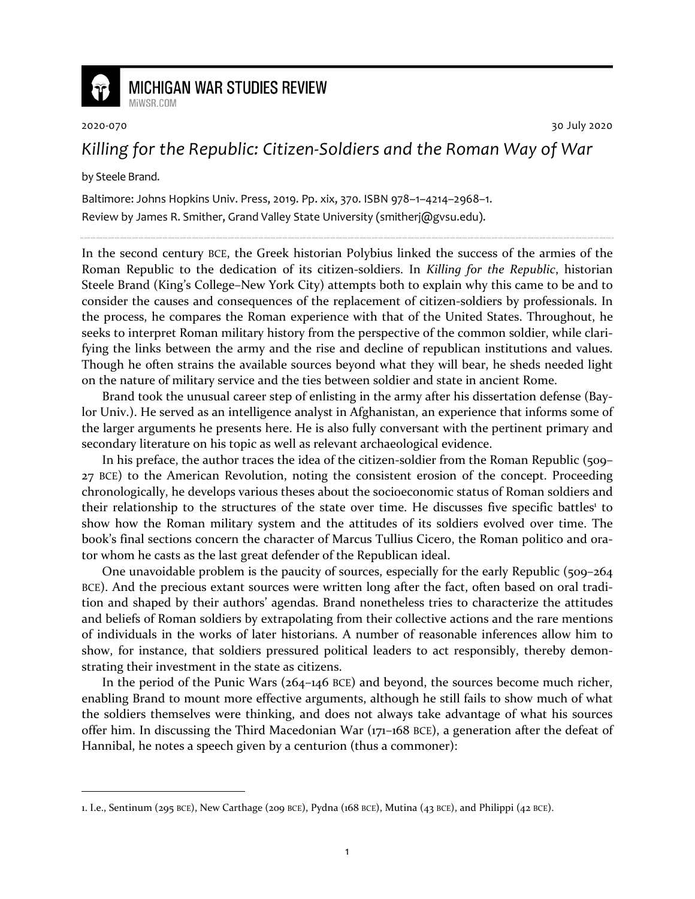

**MICHIGAN WAR STUDIES REVIEW** 

2020-070 30 July 2020

## *Killing for the Republic: Citizen-Soldiers and the Roman Way of War*

by Steele Brand.

MiWSR COM

Baltimore: Johns Hopkins Univ. Press, 2019. Pp. xix, 370. ISBN 978–1–4214–2968–1. Review by James R. Smither, Grand Valley State University (smitherj@gvsu.edu).

In the second century BCE, the Greek historian Polybius linked the success of the armies of the Roman Republic to the dedication of its citizen-soldiers. In *Killing for the Republic*, historian Steele Brand (King's College–New York City) attempts both to explain why this came to be and to consider the causes and consequences of the replacement of citizen-soldiers by professionals. In the process, he compares the Roman experience with that of the United States. Throughout, he seeks to interpret Roman military history from the perspective of the common soldier, while clarifying the links between the army and the rise and decline of republican institutions and values. Though he often strains the available sources beyond what they will bear, he sheds needed light on the nature of military service and the ties between soldier and state in ancient Rome.

Brand took the unusual career step of enlisting in the army after his dissertation defense (Baylor Univ.). He served as an intelligence analyst in Afghanistan, an experience that informs some of the larger arguments he presents here. He is also fully conversant with the pertinent primary and secondary literature on his topic as well as relevant archaeological evidence.

In his preface, the author traces the idea of the citizen-soldier from the Roman Republic (509– 27 BCE) to the American Revolution, noting the consistent erosion of the concept. Proceeding chronologically, he develops various theses about the socioeconomic status of Roman soldiers and their relationship to the structures of the state over time. He discusses five specific battles<sup>1</sup> to show how the Roman military system and the attitudes of its soldiers evolved over time. The book's final sections concern the character of Marcus Tullius Cicero, the Roman politico and orator whom he casts as the last great defender of the Republican ideal.

One unavoidable problem is the paucity of sources, especially for the early Republic (509–264 BCE). And the precious extant sources were written long after the fact, often based on oral tradition and shaped by their authors' agendas. Brand nonetheless tries to characterize the attitudes and beliefs of Roman soldiers by extrapolating from their collective actions and the rare mentions of individuals in the works of later historians. A number of reasonable inferences allow him to show, for instance, that soldiers pressured political leaders to act responsibly, thereby demonstrating their investment in the state as citizens.

In the period of the Punic Wars (264–146 BCE) and beyond, the sources become much richer, enabling Brand to mount more effective arguments, although he still fails to show much of what the soldiers themselves were thinking, and does not always take advantage of what his sources offer him. In discussing the Third Macedonian War (171–168 BCE), a generation after the defeat of Hannibal, he notes a speech given by a centurion (thus a commoner):

<sup>1.</sup> I.e., Sentinum (295 BCE), New Carthage (209 BCE), Pydna (168 BCE), Mutina (43 BCE), and Philippi (42 BCE).